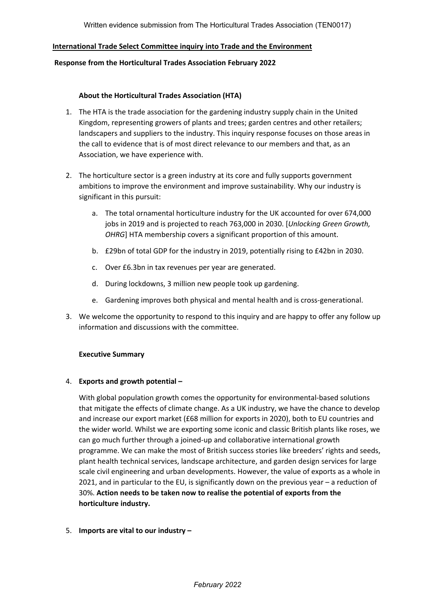### **International Trade Select Committee inquiry into Trade and the Environment**

#### **Response from the Horticultural Trades Association February 2022**

#### **About the Horticultural Trades Association (HTA)**

- 1. The HTA is the trade association for the gardening industry supply chain in the United Kingdom, representing growers of plants and trees; garden centres and other retailers; landscapers and suppliers to the industry. This inquiry response focuses on those areas in the call to evidence that is of most direct relevance to our members and that, as an Association, we have experience with.
- 2. The horticulture sector is a green industry at its core and fully supports government ambitions to improve the environment and improve sustainability. Why our industry is significant in this pursuit:
	- a. The total ornamental horticulture industry for the UK accounted for over 674,000 jobs in 2019 and is projected to reach 763,000 in 2030. [*Unlocking Green Growth, OHRG*] HTA membership covers a significant proportion of this amount.
	- b. £29bn of total GDP for the industry in 2019, potentially rising to £42bn in 2030.
	- c. Over £6.3bn in tax revenues per year are generated.
	- d. During lockdowns, 3 million new people took up gardening.
	- e. Gardening improves both physical and mental health and is cross-generational.
- 3. We welcome the opportunity to respond to this inquiry and are happy to offer any follow up information and discussions with the committee.

### **Executive Summary**

### 4. **Exports and growth potential –**

With global population growth comes the opportunity for environmental-based solutions that mitigate the effects of climate change. As a UK industry, we have the chance to develop and increase our export market (£68 million for exports in 2020), both to EU countries and the wider world. Whilst we are exporting some iconic and classic British plants like roses, we can go much further through a joined-up and collaborative international growth programme. We can make the most of British success stories like breeders' rights and seeds, plant health technical services, landscape architecture, and garden design services for large scale civil engineering and urban developments. However, the value of exports as a whole in 2021, and in particular to the EU, is significantly down on the previous year – a reduction of 30%. **Action needs to be taken now to realise the potential of exports from the horticulture industry.**

### 5. **Imports are vital to our industry –**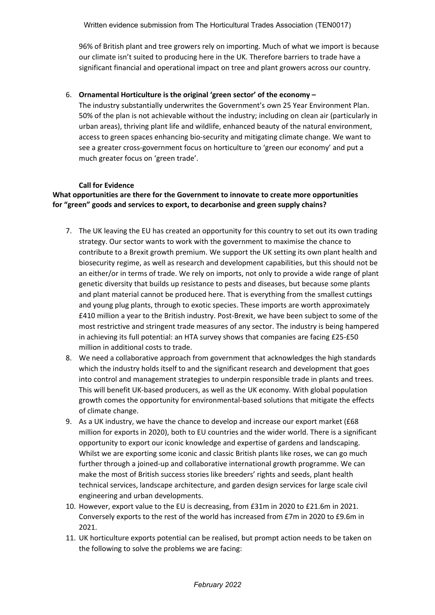96% of British plant and tree growers rely on importing. Much of what we import is because our climate isn't suited to producing here in the UK. Therefore barriers to trade have a significant financial and operational impact on tree and plant growers across our country.

### 6. **Ornamental Horticulture is the original 'green sector' of the economy –**

The industry substantially underwrites the Government's own 25 Year Environment Plan. 50% of the plan is not achievable without the industry; including on clean air (particularly in urban areas), thriving plant life and wildlife, enhanced beauty of the natural environment, access to green spaces enhancing bio-security and mitigating climate change. We want to see a greater cross-government focus on horticulture to 'green our economy' and put a much greater focus on 'green trade'.

### **Call for Evidence**

# **What opportunities are there for the Government to innovate to create more opportunities for "green" goods and services to export, to decarbonise and green supply chains?**

- 7. The UK leaving the EU has created an opportunity for this country to set out its own trading strategy. Our sector wants to work with the government to maximise the chance to contribute to a Brexit growth premium. We support the UK setting its own plant health and biosecurity regime, as well as research and development capabilities, but this should not be an either/or in terms of trade. We rely on imports, not only to provide a wide range of plant genetic diversity that builds up resistance to pests and diseases, but because some plants and plant material cannot be produced here. That is everything from the smallest cuttings and young plug plants, through to exotic species. These imports are worth approximately £410 million a year to the British industry. Post-Brexit, we have been subject to some of the most restrictive and stringent trade measures of any sector. The industry is being hampered in achieving its full potential: an HTA survey shows that companies are facing £25-£50 million in additional costs to trade.
- 8. We need a collaborative approach from government that acknowledges the high standards which the industry holds itself to and the significant research and development that goes into control and management strategies to underpin responsible trade in plants and trees. This will benefit UK-based producers, as well as the UK economy. With global population growth comes the opportunity for environmental-based solutions that mitigate the effects of climate change.
- 9. As a UK industry, we have the chance to develop and increase our export market (£68 million for exports in 2020), both to EU countries and the wider world. There is a significant opportunity to export our iconic knowledge and expertise of gardens and landscaping. Whilst we are exporting some iconic and classic British plants like roses, we can go much further through a joined-up and collaborative international growth programme. We can make the most of British success stories like breeders' rights and seeds, plant health technical services, landscape architecture, and garden design services for large scale civil engineering and urban developments.
- 10. However, export value to the EU is decreasing, from £31m in 2020 to £21.6m in 2021. Conversely exports to the rest of the world has increased from £7m in 2020 to £9.6m in 2021.
- 11. UK horticulture exports potential can be realised, but prompt action needs to be taken on the following to solve the problems we are facing: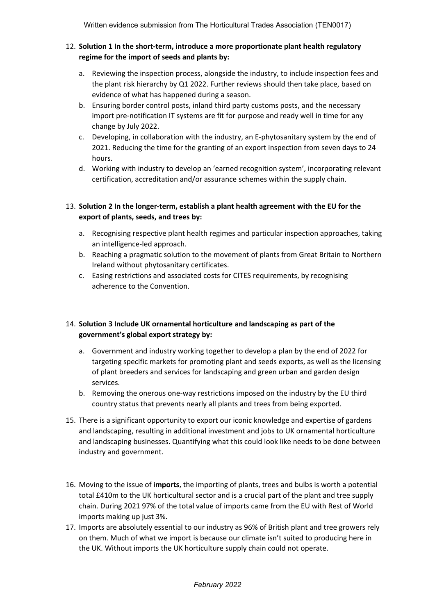### 12. **Solution 1 In the short-term, introduce a more proportionate plant health regulatory regime for the import of seeds and plants by:**

- a. Reviewing the inspection process, alongside the industry, to include inspection fees and the plant risk hierarchy by Q1 2022. Further reviews should then take place, based on evidence of what has happened during a season.
- b. Ensuring border control posts, inland third party customs posts, and the necessary import pre-notification IT systems are fit for purpose and ready well in time for any change by July 2022.
- c. Developing, in collaboration with the industry, an E-phytosanitary system by the end of 2021. Reducing the time for the granting of an export inspection from seven days to 24 hours.
- d. Working with industry to develop an 'earned recognition system', incorporating relevant certification, accreditation and/or assurance schemes within the supply chain.

# 13. **Solution 2 In the longer-term, establish a plant health agreement with the EU for the export of plants, seeds, and trees by:**

- a. Recognising respective plant health regimes and particular inspection approaches, taking an intelligence-led approach.
- b. Reaching a pragmatic solution to the movement of plants from Great Britain to Northern Ireland without phytosanitary certificates.
- c. Easing restrictions and associated costs for CITES requirements, by recognising adherence to the Convention.

# 14. **Solution 3 Include UK ornamental horticulture and landscaping as part of the government's global export strategy by:**

- a. Government and industry working together to develop a plan by the end of 2022 for targeting specific markets for promoting plant and seeds exports, as well as the licensing of plant breeders and services for landscaping and green urban and garden design services.
- b. Removing the onerous one-way restrictions imposed on the industry by the EU third country status that prevents nearly all plants and trees from being exported.
- 15. There is a significant opportunity to export our iconic knowledge and expertise of gardens and landscaping, resulting in additional investment and jobs to UK ornamental horticulture and landscaping businesses. Quantifying what this could look like needs to be done between industry and government.
- 16. Moving to the issue of **imports**, the importing of plants, trees and bulbs is worth a potential total £410m to the UK horticultural sector and is a crucial part of the plant and tree supply chain. During 2021 97% of the total value of imports came from the EU with Rest of World imports making up just 3%.
- 17. Imports are absolutely essential to our industry as 96% of British plant and tree growers rely on them. Much of what we import is because our climate isn't suited to producing here in the UK. Without imports the UK horticulture supply chain could not operate.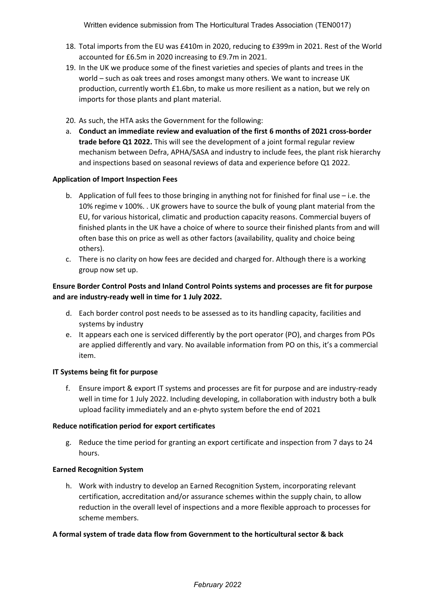- 18. Total imports from the EU was £410m in 2020, reducing to £399m in 2021. Rest of the World accounted for £6.5m in 2020 increasing to £9.7m in 2021.
- 19. In the UK we produce some of the finest varieties and species of plants and trees in the world – such as oak trees and roses amongst many others. We want to increase UK production, currently worth £1.6bn, to make us more resilient as a nation, but we rely on imports for those plants and plant material.
- 20. As such, the HTA asks the Government for the following:
- a. **Conduct an immediate review and evaluation of the first 6 months of 2021 cross-border trade before Q1 2022.** This will see the development of a joint formal regular review mechanism between Defra, APHA/SASA and industry to include fees, the plant risk hierarchy and inspections based on seasonal reviews of data and experience before Q1 2022.

### **Application of Import Inspection Fees**

- b. Application of full fees to those bringing in anything not for finished for final use i.e. the 10% regime v 100%. . UK growers have to source the bulk of young plant material from the EU, for various historical, climatic and production capacity reasons. Commercial buyers of finished plants in the UK have a choice of where to source their finished plants from and will often base this on price as well as other factors (availability, quality and choice being others).
- c. There is no clarity on how fees are decided and charged for. Although there is a working group now set up.

### **Ensure Border Control Posts and Inland Control Points systems and processes are fit for purpose and are industry-ready well in time for 1 July 2022.**

- d. Each border control post needs to be assessed as to its handling capacity, facilities and systems by industry
- e. It appears each one is serviced differently by the port operator (PO), and charges from POs are applied differently and vary. No available information from PO on this, it's a commercial item.

### **IT Systems being fit for purpose**

f. Ensure import & export IT systems and processes are fit for purpose and are industry-ready well in time for 1 July 2022. Including developing, in collaboration with industry both a bulk upload facility immediately and an e-phyto system before the end of 2021

#### **Reduce notification period for export certificates**

g. Reduce the time period for granting an export certificate and inspection from 7 days to 24 hours.

### **Earned Recognition System**

h. Work with industry to develop an Earned Recognition System, incorporating relevant certification, accreditation and/or assurance schemes within the supply chain, to allow reduction in the overall level of inspections and a more flexible approach to processes for scheme members.

### **A formal system of trade data flow from Government to the horticultural sector & back**